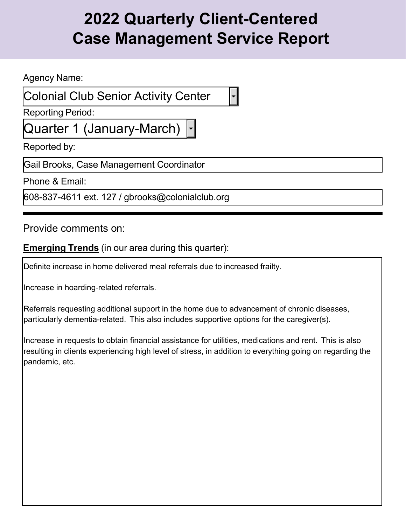Agency Name:

Colonial Club Senior Activity Center

Reporting Period:

Quarter 1 (January-March)

Reported by:

Gail Brooks, Case Management Coordinator

Phone & Email:

608-837-4611 ext. 127 / [gbrooks@colonialclub.org](mailto:gbrooks@colonialclub.org)

Provide comments on:

**Emerging Trends** (in our area during this quarter):

Definite increase in home delivered meal referrals due to increased frailty.

Increase in hoarding-related referrals.

Referrals requesting additional support in the home due to advancement of chronic diseases, particularly dementia-related. This also includes supportive options for the caregiver(s).

Increase in requests to obtain financial assistance for utilities, medications and rent. This is also resulting in clients experiencing high level of stress, in addition to everything going on regarding the pandemic, etc.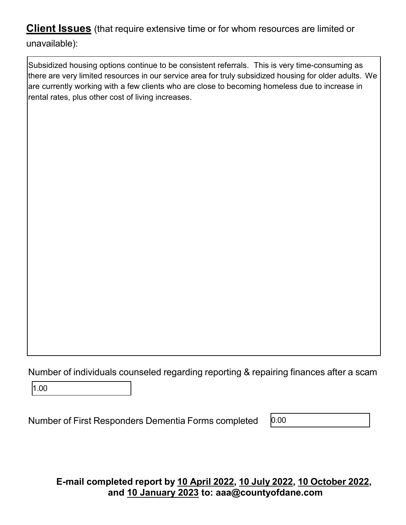Subsidized housing options continue to be consistent referrals. This is very time-consuming as there are very limited resources in our service area for truly subsidized housing for older adults. We are currently working with a few clients who are close to becoming homeless due to increase in rental rates, plus other cost of living increases.

Number of individuals counseled regarding reporting & repairing finances after a scam

1.00

Number of First Responders Dementia Forms completed

0.00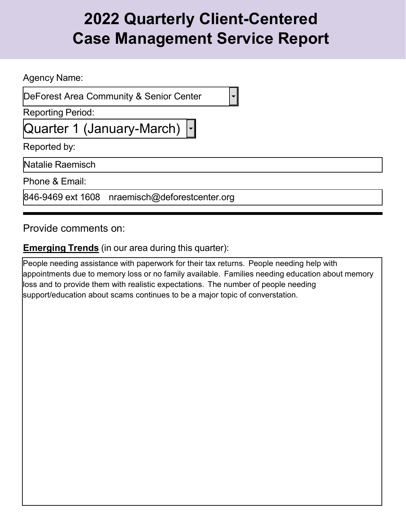Agency Name:

DeForest Area Community & Senior Center

Reporting Period:

Quarter 1 (January-March)

Reported by:

Natalie Raemisch

Phone & Email:

846-9469 ext 1608 [nraemisch@deforestcenter.org](mailto:nraemisch@deforestcenter.org)

Provide comments on:

### **Emerging Trends** (in our area during this quarter):

People needing assistance with paperwork for their tax returns. People needing help with appointments due to memory loss or no family available. Families needing education about memory loss and to provide them with realistic expectations. The number of people needing support/education about scams continues to be a major topic of converstation.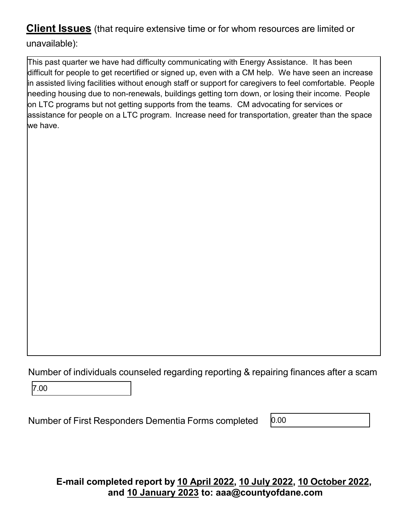This past quarter we have had difficulty communicating with Energy Assistance. It has been difficult for people to get recertified or signed up, even with a CM help. We have seen an increase in assisted living facilities without enough staff or support for caregivers to feel comfortable. People needing housing due to non-renewals, buildings getting torn down, or losing their income. People on LTC programs but not getting supports from the teams. CM advocating for services or assistance for people on a LTC program. Increase need for transportation, greater than the space we have.

Number of individuals counseled regarding reporting & repairing finances after a scam

7.00

Number of First Responders Dementia Forms completed

0.00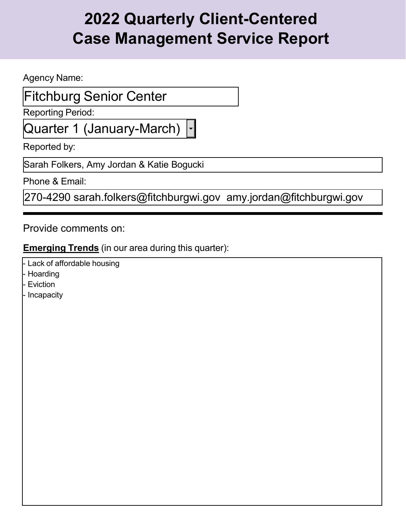Agency Name:

### Fitchburg Senior Center

Reporting Period:

Quarter 1 (January-March)

Reported by:

Sarah Folkers, Amy Jordan & Katie Bogucki

Phone & Email:

270-4290 [sarah.folkers@fitchburgwi.gov](mailto:sarah.folkers@fitchburgwi.gov) [amy.jordan@fitchburgwi.gov](mailto:amy.jordan@fitchburgwi.gov)

Provide comments on:

### **Emerging Trends** (in our area during this quarter):

- Lack of affordable housing
- Hoarding
- Eviction
- Incapacity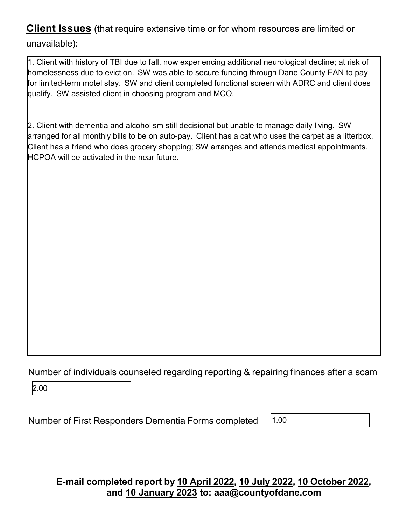1. Client with history of TBI due to fall, now experiencing additional neurological decline; at risk of homelessness due to eviction. SW was able to secure funding through Dane County EAN to pay for limited-term motel stay. SW and client completed functional screen with ADRC and client does qualify. SW assisted client in choosing program and MCO.

2. Client with dementia and alcoholism still decisional but unable to manage daily living. SW arranged for all monthly bills to be on auto-pay. Client has a cat who uses the carpet as a litterbox. Client has a friend who does grocery shopping; SW arranges and attends medical appointments. HCPOA will be activated in the near future.

Number of individuals counseled regarding reporting & repairing finances after a scam

2.00

Number of First Responders Dementia Forms completed

1.00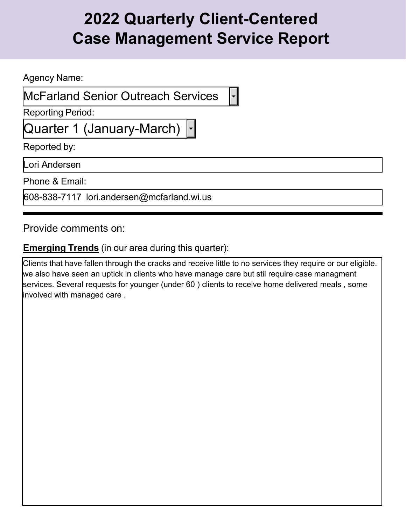Agency Name:

McFarland Senior Outreach Services

Reporting Period:

Quarter 1 (January-March)

Reported by:

Lori Andersen

Phone & Email:

608-838-7117 [lori.andersen@mcfarland.wi.us](mailto:lori.andersen@mcfarland.wi.us)

Provide comments on:

### **Emerging Trends** (in our area during this quarter):

Clients that have fallen through the cracks and receive little to no services they require or our eligible. we also have seen an uptick in clients who have manage care but stil require case managment services. Several requests for younger (under 60 ) clients to receive home delivered meals , some involved with managed care .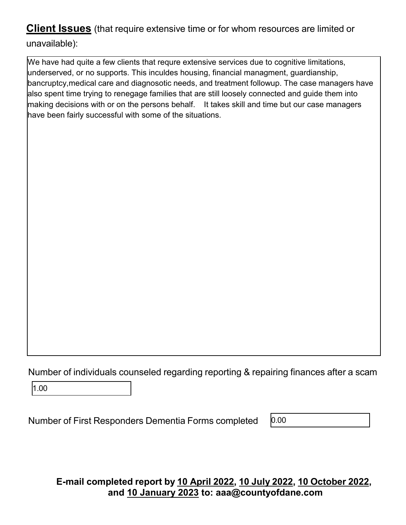We have had quite a few clients that requre extensive services due to cognitive limitations, underserved, or no supports. This inculdes housing, financial managment, guardianship, bancruptcy,medical care and diagnosotic needs, and treatment followup. The case managers have also spent time trying to renegage families that are still loosely connected and guide them into making decisions with or on the persons behalf. It takes skill and time but our case managers have been fairly successful with some of the situations.

Number of individuals counseled regarding reporting & repairing finances after a scam

1.00

Number of First Responders Dementia Forms completed

0.00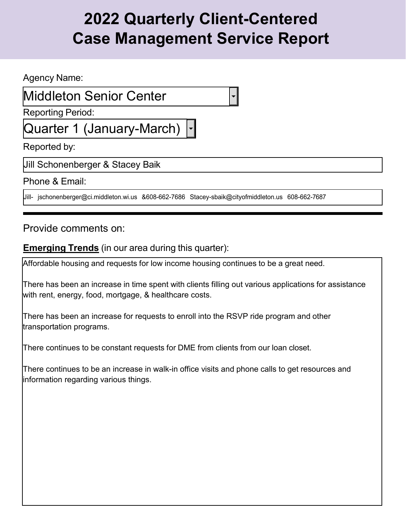Agency Name:

### Middleton Senior Center

Reporting Period:

Quarter 1 (January-March)

Reported by:

Jill Schonenberger & Stacey Baik

Phone & Email:

Jill- [jschonenberger@ci.middleton.wi.us](mailto:jschonenberger@ci.middleton.wi.us) &608-662-7686 [Stacey-sbaik@cityofmiddleton.us](mailto:Stacey-sbaik@cityofmiddleton.us) 608-662-7687

Provide comments on:

#### **Emerging Trends** (in our area during this quarter):

Affordable housing and requests for low income housing continues to be a great need.

There has been an increase in time spent with clients filling out various applications for assistance with rent, energy, food, mortgage, & healthcare costs.

There has been an increase for requests to enroll into the RSVP ride program and other transportation programs.

There continues to be constant requests for DME from clients from our loan closet.

There continues to be an increase in walk-in office visits and phone calls to get resources and information regarding various things.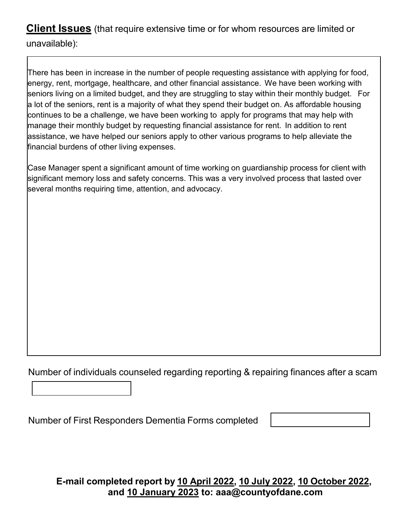There has been in increase in the number of people requesting assistance with applying for food, energy, rent, mortgage, healthcare, and other financial assistance. We have been working with seniors living on a limited budget, and they are struggling to stay within their monthly budget. For a lot of the seniors, rent is a majority of what they spend their budget on. As affordable housing continues to be a challenge, we have been working to apply for programs that may help with manage their monthly budget by requesting financial assistance for rent. In addition to rent assistance, we have helped our seniors apply to other various programs to help alleviate the financial burdens of other living expenses.

Case Manager spent a significant amount of time working on guardianship process for client with significant memory loss and safety concerns. This was a very involved process that lasted over several months requiring time, attention, and advocacy.

Number of individuals counseled regarding reporting & repairing finances after a scam

Number of First Responders Dementia Forms completed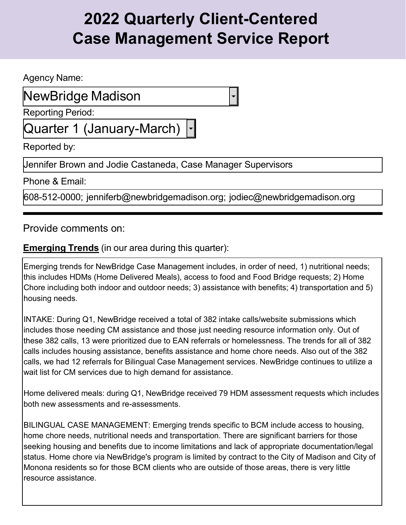Agency Name:

NewBridge Madison

Reporting Period:

Quarter 1 (January-March)

Reported by:

Jennifer Brown and Jodie Castaneda, Case Manager Supervisors

Phone & Email:

608-512-0000; jenniferb@newbridgemadison.org; [jodiec@newbridgemadison.org](mailto:jodiec@newbridgemadison.org)

Provide comments on:

### **Emerging Trends** (in our area during this quarter):

Emerging trends for NewBridge Case Management includes, in order of need, 1) nutritional needs; this includes HDMs (Home Delivered Meals), access to food and Food Bridge requests; 2) Home Chore including both indoor and outdoor needs; 3) assistance with benefits; 4) transportation and 5) housing needs.

INTAKE: During Q1, NewBridge received a total of 382 intake calls/website submissions which includes those needing CM assistance and those just needing resource information only. Out of these 382 calls, 13 were prioritized due to EAN referrals or homelessness. The trends for all of 382 calls includes housing assistance, benefits assistance and home chore needs. Also out of the 382 calls, we had 12 referrals for Bilingual Case Management services. NewBridge continues to utilize a wait list for CM services due to high demand for assistance.

Home delivered meals: during Q1, NewBridge received 79 HDM assessment requests which includes both new assessments and re-assessments.

BILINGUAL CASE MANAGEMENT: Emerging trends specific to BCM include access to housing, home chore needs, nutritional needs and transportation. There are significant barriers for those seeking housing and benefits due to income limitations and lack of appropriate documentation/legal status. Home chore via NewBridge's program is limited by contract to the City of Madison and City of Monona residents so for those BCM clients who are outside of those areas, there is very little resource assistance.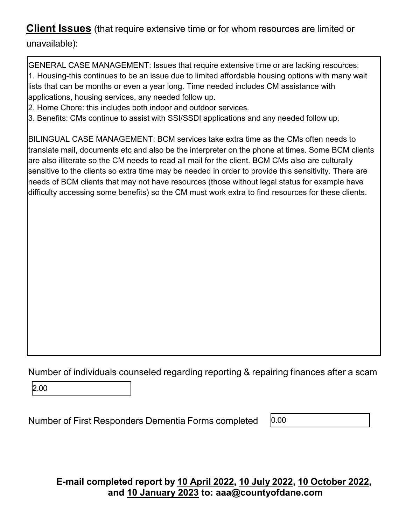unavailable):

GENERAL CASE MANAGEMENT: Issues that require extensive time or are lacking resources: 1. Housing-this continues to be an issue due to limited affordable housing options with many wait lists that can be months or even a year long. Time needed includes CM assistance with applications, housing services, any needed follow up.

2. Home Chore: this includes both indoor and outdoor services.

3. Benefits: CMs continue to assist with SSI/SSDI applications and any needed follow up.

BILINGUAL CASE MANAGEMENT: BCM services take extra time as the CMs often needs to translate mail, documents etc and also be the interpreter on the phone at times. Some BCM clients are also illiterate so the CM needs to read all mail for the client. BCM CMs also are culturally sensitive to the clients so extra time may be needed in order to provide this sensitivity. There are needs of BCM clients that may not have resources (those without legal status for example have difficulty accessing some benefits) so the CM must work extra to find resources for these clients.

Number of individuals counseled regarding reporting & repairing finances after a scam

2.00

Number of First Responders Dementia Forms completed

0.00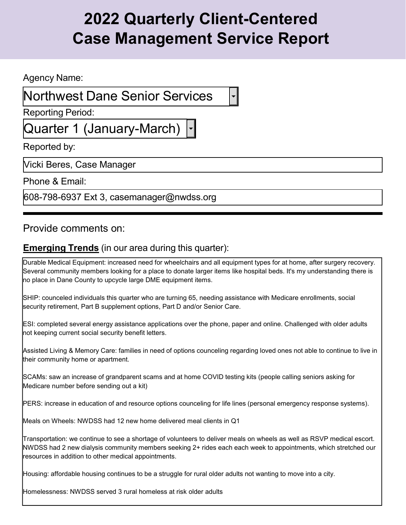#### Agency Name:

### Northwest Dane Senior Services

Reporting Period:

Quarter 1 (January-March)

Reported by:

Vicki Beres, Case Manager

Phone & Email:

608-798-6937 Ext 3, [casemanager@nwdss.org](mailto:casemanager@nwdss.org)

### Provide comments on:

### **Emerging Trends** (in our area during this quarter):

Durable Medical Equipment: increased need for wheelchairs and all equipment types for at home, after surgery recovery. Several community members looking for a place to donate larger items like hospital beds. It's my understanding there is no place in Dane County to upcycle large DME equipment items.

SHIP: counceled individuals this quarter who are turning 65, needing assistance with Medicare enrollments, social security retirement, Part B supplement options, Part D and/or Senior Care.

ESI: completed several energy assistance applications over the phone, paper and online. Challenged with older adults not keeping current social security benefit letters.

Assisted Living & Memory Care: families in need of options counceling regarding loved ones not able to continue to live in their community home or apartment.

SCAMs: saw an increase of grandparent scams and at home COVID testing kits (people calling seniors asking for Medicare number before sending out a kit)

PERS: increase in education of and resource options counceling for life lines (personal emergency response systems).

Meals on Wheels: NWDSS had 12 new home delivered meal clients in Q1

Transportation: we continue to see a shortage of volunteers to deliver meals on wheels as well as RSVP medical escort. NWDSS had 2 new dialysis community members seeking 2+ rides each each week to appointments, which stretched our resources in addition to other medical appointments.

Housing: affordable housing continues to be a struggle for rural older adults not wanting to move into a city.

Homelessness: NWDSS served 3 rural homeless at risk older adults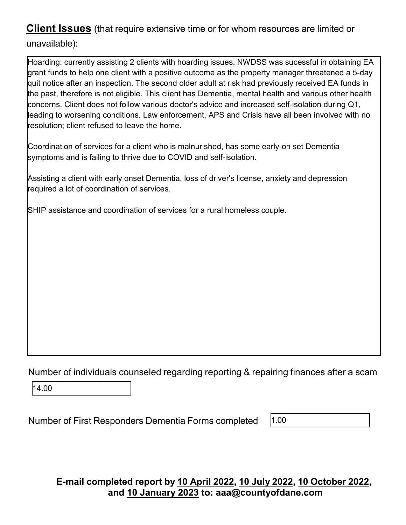Hoarding: currently assisting 2 clients with hoarding issues. NWDSS was sucessful in obtaining EA grant funds to help one client with a positive outcome as the property manager threatened a 5-day quit notice after an inspection. The second older adult at risk had previously received EA funds in the past, therefore is not eligible. This client has Dementia, mental health and various other health concerns. Client does not follow various doctor's advice and increased self-isolation during Q1, leading to worsening conditions. Law enforcement, APS and Crisis have all been involved with no resolution; client refused to leave the home.

Coordination of services for a client who is malnurished, has some early-on set Dementia symptoms and is failing to thrive due to COVID and self-isolation.

Assisting a client with early onset Dementia, loss of driver's license, anxiety and depression required a lot of coordination of services.

SHIP assistance and coordination of services for a rural homeless couple.

Number of individuals counseled regarding reporting & repairing finances after a scam

14.00

Number of First Responders Dementia Forms completed

1.00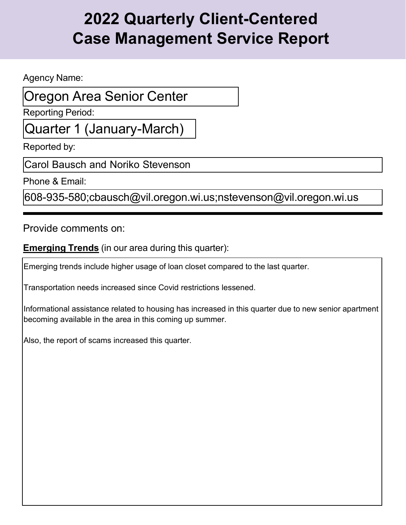Agency Name:

### Oregon Area Senior Center

Reporting Period:

Quarter 1 (January-March)

Reported by:

Carol Bausch and Noriko Stevenson

Phone & Email:

608-935-580;cbausch@vil.oregon.wi.us;nstevenson@vil.oregon.wi.us

Provide comments on:

**Emerging Trends** (in our area during this quarter):

Emerging trends include higher usage of loan closet compared to the last quarter.

Transportation needs increased since Covid restrictions lessened.

Informational assistance related to housing has increased in this quarter due to new senior apartment becoming available in the area in this coming up summer.

Also, the report of scams increased this quarter.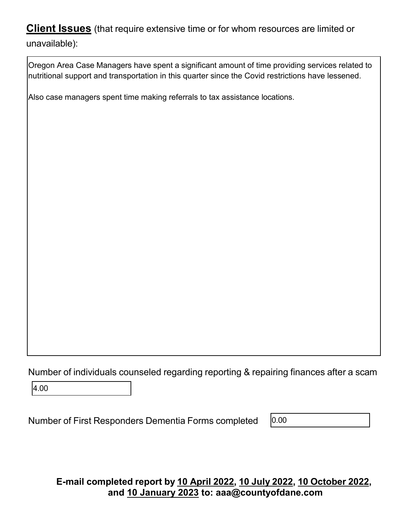Oregon Area Case Managers have spent a significant amount of time providing services related to nutritional support and transportation in this quarter since the Covid restrictions have lessened.

Also case managers spent time making referrals to tax assistance locations.

Number of individuals counseled regarding reporting & repairing finances after a scam

4.00

Number of First Responders Dementia Forms completed

0.00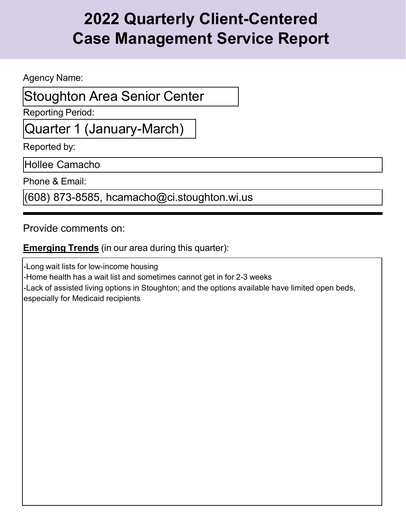Agency Name:

### Stoughton Area Senior Center

Reporting Period:

Quarter 1 (January-March)

Reported by:

Hollee Camacho

Phone & Email:

(608) 873-8585, [hcamacho@ci.stoughton.wi.us](mailto:hcamacho@ci.stoughton.wi.us)

Provide comments on:

**Emerging Trends** (in our area during this quarter):

-Long wait lists for low-income housing -Home health has a wait list and sometimes cannot get in for 2-3 weeks -Lack of assisted living options in Stoughton; and the options available have limited open beds, especially for Medicaid recipients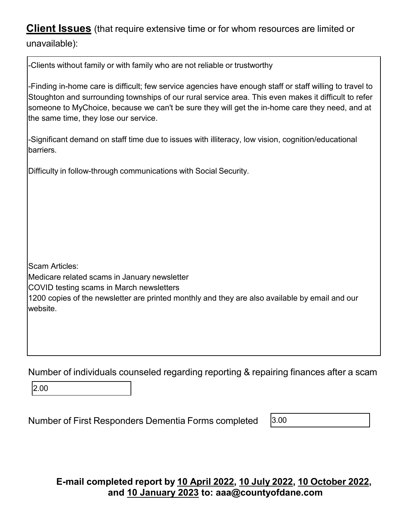unavailable):

| -Clients without family or with family who are not reliable or trustworthy                                                                                                                                                                                                                                                                                  |
|-------------------------------------------------------------------------------------------------------------------------------------------------------------------------------------------------------------------------------------------------------------------------------------------------------------------------------------------------------------|
| -Finding in-home care is difficult; few service agencies have enough staff or staff willing to travel to<br>Stoughton and surrounding townships of our rural service area. This even makes it difficult to refer<br>someone to MyChoice, because we can't be sure they will get the in-home care they need, and at<br>the same time, they lose our service. |
| -Significant demand on staff time due to issues with illiteracy, low vision, cognition/educational<br>barriers.                                                                                                                                                                                                                                             |
| Difficulty in follow-through communications with Social Security.                                                                                                                                                                                                                                                                                           |
| <b>Scam Articles:</b><br>Medicare related scams in January newsletter<br>COVID testing scams in March newsletters<br>1200 copies of the newsletter are printed monthly and they are also available by email and our<br>lwebsite.                                                                                                                            |
| Number of individuals counseled regarding reporting & repairing finances after a scam<br>2.00                                                                                                                                                                                                                                                               |

Number of First Responders Dementia Forms completed

 $3.00$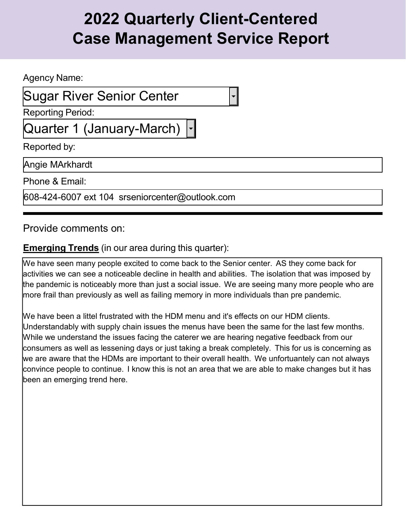Agency Name:

### Sugar River Senior Center

Reporting Period:

Quarter 1 (January-March)

Reported by:

Angie MArkhardt

Phone & Email:

608-424-6007 ext 104 [srseniorcenter@outlook.com](mailto:srseniorcenter@outlook.com)

Provide comments on:

#### **Emerging Trends** (in our area during this quarter):

We have seen many people excited to come back to the Senior center. AS they come back for activities we can see a noticeable decline in health and abilities. The isolation that was imposed by the pandemic is noticeably more than just a social issue. We are seeing many more people who are more frail than previously as well as failing memory in more individuals than pre pandemic.

We have been a littel frustrated with the HDM menu and it's effects on our HDM clients. Understandably with supply chain issues the menus have been the same for the last few months. While we understand the issues facing the caterer we are hearing negative feedback from our consumers as well as lessening days or just taking a break completely. This for us is concerning as we are aware that the HDMs are important to their overall health. We unfortuantely can not always convince people to continue. I know this is not an area that we are able to make changes but it has been an emerging trend here.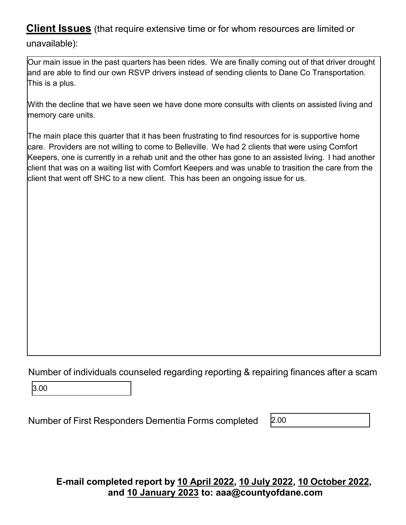Our main issue in the past quarters has been rides. We are finally coming out of that driver drought and are able to find our own RSVP drivers instead of sending clients to Dane Co Transportation. This is a plus.

With the decline that we have seen we have done more consults with clients on assisted living and memory care units.

The main place this quarter that it has been frustrating to find resources for is supportive home care. Providers are not willing to come to Belleville. We had 2 clients that were using Comfort Keepers, one is currently in a rehab unit and the other has gone to an assisted living. I had another client that was on a waiting list with Comfort Keepers and was unable to trasition the care from the client that went off SHC to a new client. This has been an ongoing issue for us.

Number of individuals counseled regarding reporting & repairing finances after a scam

3.00

Number of First Responders Dementia Forms completed

2.00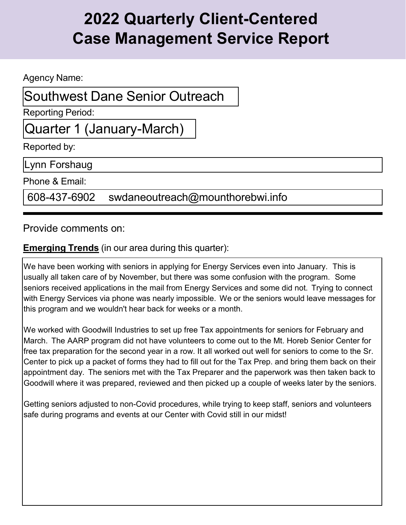Agency Name:

Southwest Dane Senior Outreach

Reporting Period:

Quarter 1 (January-March)

Reported by:

Lynn Forshaug

Phone & Email:

608-437-6902 [swdaneoutreach@mounthorebwi.info](mailto:swdaneoutreach@mounthorebwi.info)

Provide comments on:

### **Emerging Trends** (in our area during this quarter):

We have been working with seniors in applying for Energy Services even into January. This is usually all taken care of by November, but there was some confusion with the program. Some seniors received applications in the mail from Energy Services and some did not. Trying to connect with Energy Services via phone was nearly impossible. We or the seniors would leave messages for this program and we wouldn't hear back for weeks or a month.

We worked with Goodwill Industries to set up free Tax appointments for seniors for February and March. The AARP program did not have volunteers to come out to the Mt. Horeb Senior Center for free tax preparation for the second year in a row. It all worked out well for seniors to come to the Sr. Center to pick up a packet of forms they had to fill out for the Tax Prep. and bring them back on their appointment day. The seniors met with the Tax Preparer and the paperwork was then taken back to Goodwill where it was prepared, reviewed and then picked up a couple of weeks later by the seniors.

Getting seniors adjusted to non-Covid procedures, while trying to keep staff, seniors and volunteers safe during programs and events at our Center with Covid still in our midst!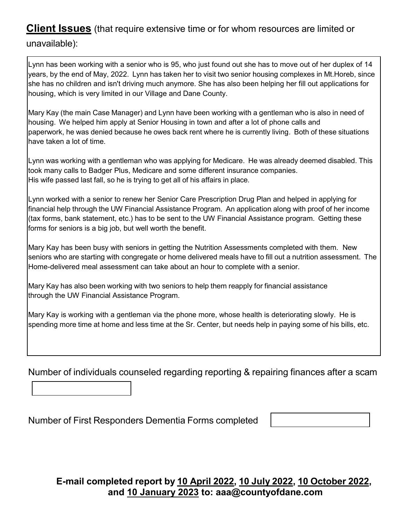Lynn has been working with a senior who is 95, who just found out she has to move out of her duplex of 14 years, by the end of May, 2022. Lynn has taken her to visit two senior housing complexes in Mt.Horeb, since she has no children and isn't driving much anymore. She has also been helping her fill out applications for housing, which is very limited in our Village and Dane County.

Mary Kay (the main Case Manager) and Lynn have been working with a gentleman who is also in need of housing. We helped him apply at Senior Housing in town and after a lot of phone calls and paperwork, he was denied because he owes back rent where he is currently living. Both of these situations have taken a lot of time.

Lynn was working with a gentleman who was applying for Medicare. He was already deemed disabled. This took many calls to Badger Plus, Medicare and some different insurance companies. His wife passed last fall, so he is trying to get all of his affairs in place.

Lynn worked with a senior to renew her Senior Care Prescription Drug Plan and helped in applying for financial help through the UW Financial Assistance Program. An application along with proof of her income (tax forms, bank statement, etc.) has to be sent to the UW Financial Assistance program. Getting these forms for seniors is a big job, but well worth the benefit.

Mary Kay has been busy with seniors in getting the Nutrition Assessments completed with them. New seniors who are starting with congregate or home delivered meals have to fill out a nutrition assessment. The Home-delivered meal assessment can take about an hour to complete with a senior.

Mary Kay has also been working with two seniors to help them reapply for financial assistance through the UW Financial Assistance Program.

Mary Kay is working with a gentleman via the phone more, whose health is deteriorating slowly. He is spending more time at home and less time at the Sr. Center, but needs help in paying some of his bills, etc.

Number of individuals counseled regarding reporting & repairing finances after a scam

Number of First Responders Dementia Forms completed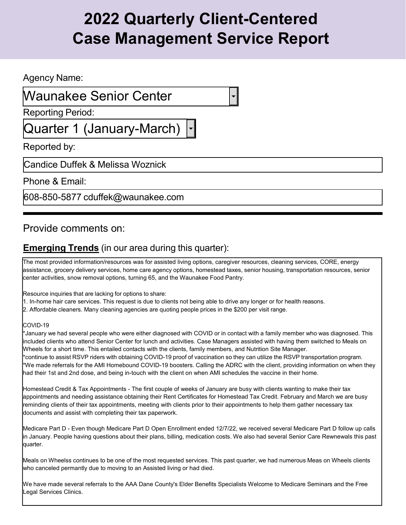#### Agency Name:

### Waunakee Senior Center

Reporting Period:

Quarter 1 (January-March)

Reported by:

Candice Duffek & Melissa Woznick

Phone & Email:

608-850-5877 [cduffek@waunakee.com](mailto:cduffek@waunakee.com)

### Provide comments on:

### **Emerging Trends** (in our area during this quarter):

The most provided information/resources was for assisted living options, caregiver resources, cleaning services, CORE, energy assistance, grocery delivery services, home care agency options, homestead taxes, senior housing, transportation resources, senior center activities, snow removal options, turning 65, and the Waunakee Food Pantry.

Resource inquiries that are lacking for options to share:

1. In-home hair care services. This request is due to clients not being able to drive any longer or for health reasons.

2. Affordable cleaners. Many cleaning agencies are quoting people prices in the \$200 per visit range.

#### COVID-19

\*January we had several people who were either diagnosed with COVID or in contact with a family member who was diagnosed. This included clients who attend Senior Center for lunch and activities. Case Managers assisted with having them switched to Meals on Wheels for a short time. This entailed contacts with the clients, family members, and Nutrition Site Manager. \*continue to assist RSVP riders with obtaining COVID-19 proof of vaccination so they can utilize the RSVP transportation program. \*We made referrals for the AMI Homebound COVID-19 boosters. Calling the ADRC with the client, providing information on when they had their 1st and 2nd dose, and being in-touch with the client on when AMI schedules the vaccine in their home.

Homestead Credit & Tax Appointments - The first couple of weeks of January are busy with clients wanting to make their tax appointments and needing assistance obtaining their Rent Certificates for Homestead Tax Credit. February and March we are busy reminding clients of their tax appointments, meeting with clients prior to their appointments to help them gather necessary tax documents and assist with completing their tax paperwork.

Medicare Part D - Even though Medicare Part D Open Enrollment ended 12/7/22, we received several Medicare Part D follow up calls in January. People having questions about their plans, billing, medication costs. We also had several Senior Care Rewnewals this past quarter.

Meals on Wheelss continues to be one of the most requested services. This past quarter, we had numerous Meas on Wheels clients who canceled permantly due to moving to an Assisted living or had died.

We have made several referrals to the AAA Dane County's Elder Benefits Specialists Welcome to Medicare Seminars and the Free Legal Services Clinics.